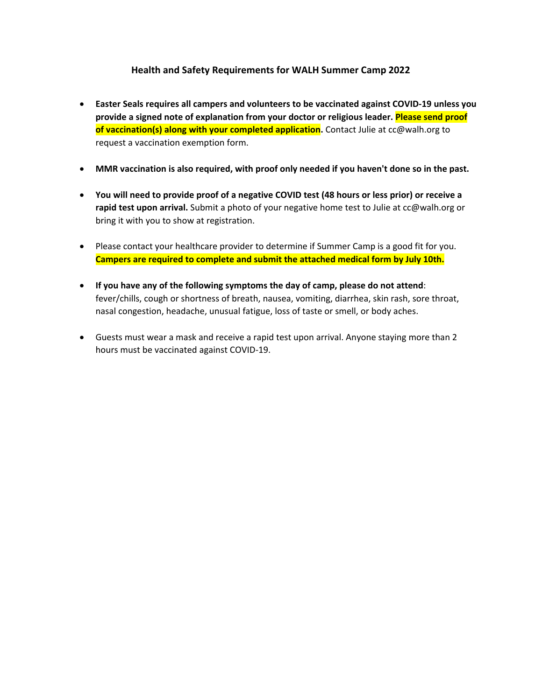## **Health and Safety Requirements for WALH Summer Camp 2022**

- **Easter Seals requires all campers and volunteers to be vaccinated against COVID-19 unless you provide a signed note of explanation from your doctor or religious leader. Please send proof of vaccination(s) along with your completed application.** Contact Julie at cc@walh.org to request a vaccination exemption form.
- **MMR vaccination is also required, with proof only needed if you haven't done so in the past.**
- **You will need to provide proof of a negative COVID test (48 hours or less prior) or receive a rapid test upon arrival.** Submit a photo of your negative home test to Julie at cc@walh.org or bring it with you to show at registration.
- Please contact your healthcare provider to determine if Summer Camp is a good fit for you. **Campers are required to complete and submit the attached medical form by July 10th.**
- **If you have any of the following symptoms the day of camp, please do not attend**: fever/chills, cough or shortness of breath, nausea, vomiting, diarrhea, skin rash, sore throat, nasal congestion, headache, unusual fatigue, loss of taste or smell, or body aches.
- Guests must wear a mask and receive a rapid test upon arrival. Anyone staying more than 2 hours must be vaccinated against COVID-19.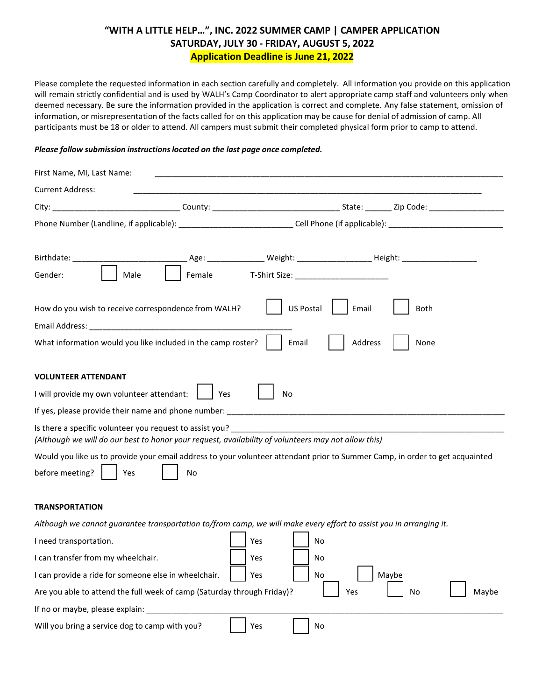## **"WITH A LITTLE HELP…", INC. 2022 SUMMER CAMP | CAMPER APPLICATION SATURDAY, JULY 30 - FRIDAY, AUGUST 5, 2022 Application Deadline is June 21, 2022**

Please complete the requested information in each section carefully and completely. All information you provide on this application will remain strictly confidential and is used by WALH's Camp Coordinator to alert appropriate camp staff and volunteers only when deemed necessary. Be sure the information provided in the application is correct and complete. Any false statement, omission of information, or misrepresentation of the facts called for on this application may be cause for denial of admission of camp. All participants must be 18 or older to attend. All campers must submit their completed physical form prior to camp to attend.

#### *Please follow submission instructionslocated on the last page once completed.*

| First Name, MI, Last Name:                                                                                                                                      |                                                                                                                              |
|-----------------------------------------------------------------------------------------------------------------------------------------------------------------|------------------------------------------------------------------------------------------------------------------------------|
| <b>Current Address:</b>                                                                                                                                         |                                                                                                                              |
|                                                                                                                                                                 |                                                                                                                              |
|                                                                                                                                                                 |                                                                                                                              |
|                                                                                                                                                                 |                                                                                                                              |
| Female<br>Gender:<br>Male                                                                                                                                       | T-Shirt Size: 1990 - 1991 - 1992 - 1993 - 1994 - 1994 - 1994 - 1994 - 1994 - 1994 - 1994 - 1994 - 1994 - 1994                |
| How do you wish to receive correspondence from WALH?                                                                                                            | <b>US Postal</b><br>Email<br>Both                                                                                            |
| What information would you like included in the camp roster?                                                                                                    | Email<br>Address<br>None                                                                                                     |
| <b>VOLUNTEER ATTENDANT</b><br>I will provide my own volunteer attendant:<br>Yes                                                                                 | No                                                                                                                           |
|                                                                                                                                                                 | If yes, please provide their name and phone number: If you have not all the provide their names of the state o               |
| Is there a specific volunteer you request to assist you?<br>(Although we will do our best to honor your request, availability of volunteers may not allow this) |                                                                                                                              |
| before meeting?<br>Yes<br>No                                                                                                                                    | Would you like us to provide your email address to your volunteer attendant prior to Summer Camp, in order to get acquainted |
| <b>TRANSPORTATION</b>                                                                                                                                           |                                                                                                                              |
|                                                                                                                                                                 | Although we cannot guarantee transportation to/from camp, we will make every effort to assist you in arranging it.           |
| I need transportation.                                                                                                                                          | Yes<br>No                                                                                                                    |
| I can transfer from my wheelchair.                                                                                                                              | Yes<br>No                                                                                                                    |
| I can provide a ride for someone else in wheelchair.                                                                                                            | Yes<br>No<br>Maybe                                                                                                           |
| Are you able to attend the full week of camp (Saturday through Friday)?                                                                                         | Yes<br>Maybe<br>No                                                                                                           |
| If no or maybe, please explain:                                                                                                                                 |                                                                                                                              |
| Will you bring a service dog to camp with you?                                                                                                                  | Yes<br>No                                                                                                                    |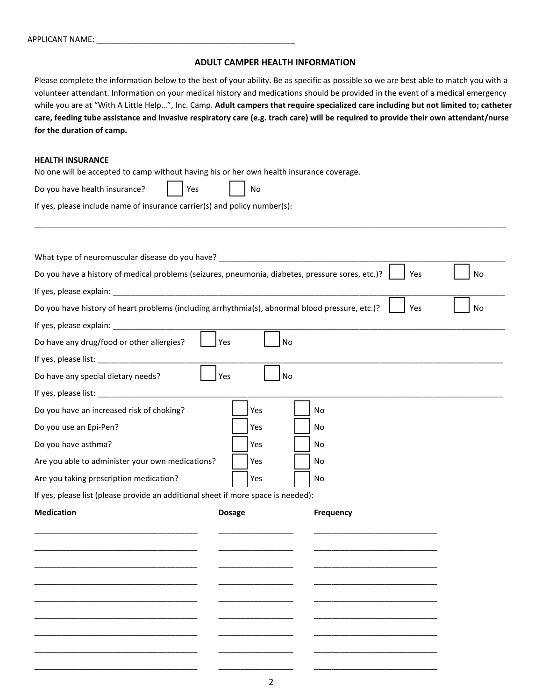### **ADULT CAMPER HEALTH INFORMATION**

Please complete the information below to the best of your ability. Be as specific as possible so we are best able to match you with a volunteer attendant. Information on your medical history and medications should be provided in the event of a medical emergency while you are at "With A Little Help…", Inc. Camp. **Adult campers that require specialized care including but not limited to; catheter care, feeding tube assistance and invasive respiratory care (e.g. trach care) will be required to provide their own attendant/nurse for the duration of camp.**

\_\_\_\_\_\_\_\_\_\_\_\_\_\_\_\_\_\_\_\_\_\_\_\_\_\_\_\_\_\_\_\_\_\_\_\_\_\_\_\_\_\_\_\_\_\_\_\_\_\_\_\_\_\_\_\_\_\_\_\_\_\_\_\_\_\_\_\_\_\_\_\_\_\_\_\_\_\_\_\_\_\_\_\_\_\_\_\_\_\_\_\_\_\_\_\_\_\_\_\_\_\_\_\_\_\_\_

### **HEALTH INSURANCE**

No one will be accepted to camp without having his or her own health insurance coverage.

| Do you have health insurance? | Yes | l No |
|-------------------------------|-----|------|
|                               |     |      |

If yes, please include name of insurance carrier(s) and policy number(s):

| What type of neuromuscular disease do you have? ________________________________                 |                  |                  |    |
|--------------------------------------------------------------------------------------------------|------------------|------------------|----|
| Do you have a history of medical problems (seizures, pneumonia, diabetes, pressure sores, etc.)? |                  | Yes              | No |
|                                                                                                  |                  |                  |    |
| Do you have history of heart problems (including arrhythmia(s), abnormal blood pressure, etc.)?  |                  | Yes              | No |
|                                                                                                  |                  |                  |    |
| Do have any drug/food or other allergies?                                                        | Yes<br><b>No</b> |                  |    |
|                                                                                                  |                  |                  |    |
| Do have any special dietary needs?                                                               | <b>No</b><br>Yes |                  |    |
|                                                                                                  |                  |                  |    |
| Do you have an increased risk of choking?                                                        | Yes              | No               |    |
| Do you use an Epi-Pen?                                                                           | Yes              | No               |    |
| Do you have asthma?                                                                              | Yes              | No               |    |
| Are you able to administer your own medications?                                                 | Yes              | No               |    |
| Are you taking prescription medication?                                                          | Yes              | No               |    |
| If yes, please list (please provide an additional sheet if more space is needed):                |                  |                  |    |
| <b>Medication</b>                                                                                | <b>Dosage</b>    | <b>Frequency</b> |    |
|                                                                                                  |                  |                  |    |
|                                                                                                  |                  |                  |    |
|                                                                                                  |                  |                  |    |
|                                                                                                  |                  |                  |    |
|                                                                                                  |                  |                  |    |
|                                                                                                  |                  |                  |    |
|                                                                                                  |                  |                  |    |
|                                                                                                  |                  |                  |    |
|                                                                                                  |                  |                  |    |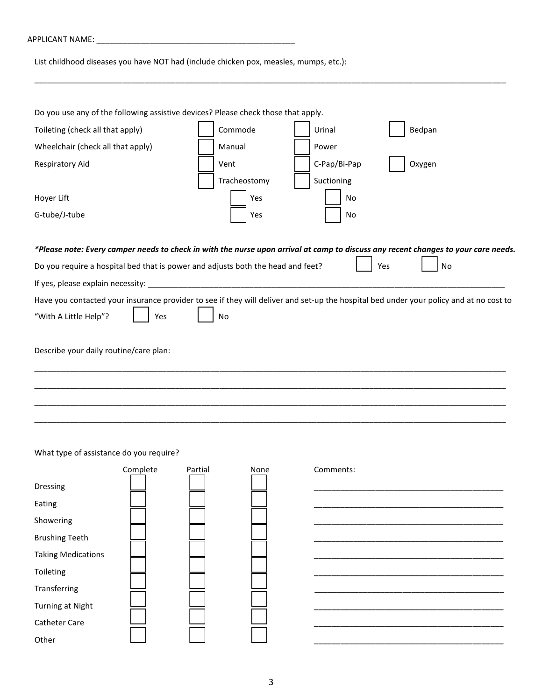| APPLICANT NAME: |  |
|-----------------|--|
|                 |  |

List childhood diseases you have NOT had (include chicken pox, measles, mumps, etc.):

| Do you use any of the following assistive devices? Please check those that apply.                                                                                                                                                                          |              |              |           |
|------------------------------------------------------------------------------------------------------------------------------------------------------------------------------------------------------------------------------------------------------------|--------------|--------------|-----------|
| Toileting (check all that apply)                                                                                                                                                                                                                           | Commode      | Urinal       | Bedpan    |
| Wheelchair (check all that apply)                                                                                                                                                                                                                          | Manual       | Power        |           |
| <b>Respiratory Aid</b>                                                                                                                                                                                                                                     | Vent         | C-Pap/Bi-Pap | Oxygen    |
|                                                                                                                                                                                                                                                            | Tracheostomy | Suctioning   |           |
| Hoyer Lift                                                                                                                                                                                                                                                 | Yes          | No           |           |
| G-tube/J-tube                                                                                                                                                                                                                                              | Yes          | No           |           |
| *Please note: Every camper needs to check in with the nurse upon arrival at camp to discuss any recent changes to your care needs.<br>Do you require a hospital bed that is power and adjusts both the head and feet?<br>If yes, please explain necessity: |              |              | Yes<br>No |
| Have you contacted your insurance provider to see if they will deliver and set-up the hospital bed under your policy and at no cost to<br>"With A Little Help"?<br>Yes                                                                                     | No           |              |           |
| Describe your daily routine/care plan:                                                                                                                                                                                                                     |              |              |           |
|                                                                                                                                                                                                                                                            |              |              |           |
|                                                                                                                                                                                                                                                            |              |              |           |
|                                                                                                                                                                                                                                                            |              |              |           |

\_\_\_\_\_\_\_\_\_\_\_\_\_\_\_\_\_\_\_\_\_\_\_\_\_\_\_\_\_\_\_\_\_\_\_\_\_\_\_\_\_\_\_\_\_\_\_\_\_\_\_\_\_\_\_\_\_\_\_\_\_\_\_\_\_\_\_\_\_\_\_\_\_\_\_\_\_\_\_\_\_\_\_\_\_\_\_\_\_\_\_\_\_\_\_\_\_\_\_\_\_\_\_\_\_\_\_

What type of assistance do you require?

|                           | Complete | Partial | None | Comments: |
|---------------------------|----------|---------|------|-----------|
| Dressing                  |          |         |      |           |
| Eating                    |          |         |      |           |
| Showering                 |          |         |      |           |
| <b>Brushing Teeth</b>     |          |         |      |           |
| <b>Taking Medications</b> |          |         |      |           |
| Toileting                 |          |         |      |           |
| Transferring              |          |         |      |           |
| Turning at Night          |          |         |      |           |
| <b>Catheter Care</b>      |          |         |      |           |
| Other                     |          |         |      |           |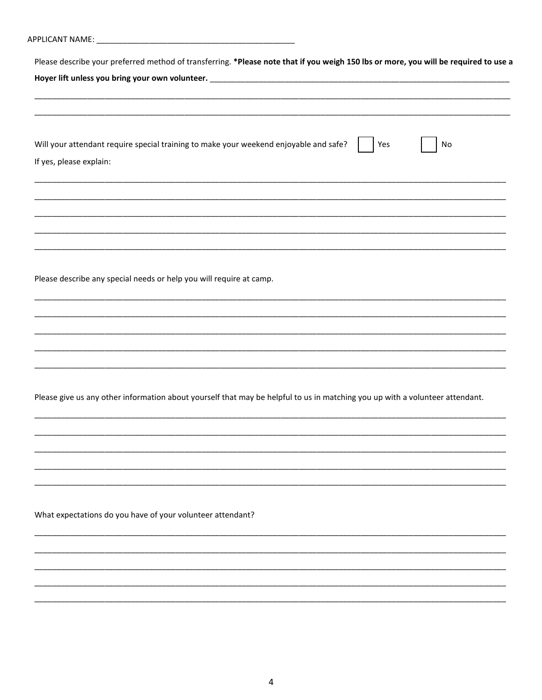|                         | Please describe your preferred method of transferring. *Please note that if you weigh 150 lbs or more, you will be required to use a |
|-------------------------|--------------------------------------------------------------------------------------------------------------------------------------|
|                         |                                                                                                                                      |
|                         |                                                                                                                                      |
|                         |                                                                                                                                      |
|                         |                                                                                                                                      |
|                         | Will your attendant require special training to make your weekend enjoyable and safe?<br>Yes<br>No                                   |
| If yes, please explain: |                                                                                                                                      |
|                         |                                                                                                                                      |
|                         |                                                                                                                                      |
|                         |                                                                                                                                      |
|                         |                                                                                                                                      |
|                         |                                                                                                                                      |
|                         | <u> 1989 - Johann Stoff, deutscher Stoff, der Stoff, der Stoff, der Stoff, der Stoff, der Stoff, der Stoff, der S</u>                |
|                         |                                                                                                                                      |
|                         | Please describe any special needs or help you will require at camp.                                                                  |
|                         |                                                                                                                                      |
|                         |                                                                                                                                      |
|                         |                                                                                                                                      |
|                         | <u> 1990 - Jacob Sarajević, politički predsjednik i predsjednik i predsjednik i predsjednik i predsjednik i pre</u>                  |
|                         |                                                                                                                                      |
|                         |                                                                                                                                      |
|                         | Please give us any other information about yourself that may be helpful to us in matching you up with a volunteer attendant.         |
|                         |                                                                                                                                      |
|                         |                                                                                                                                      |
|                         |                                                                                                                                      |
|                         |                                                                                                                                      |
|                         |                                                                                                                                      |
|                         |                                                                                                                                      |
|                         | What expectations do you have of your volunteer attendant?                                                                           |
|                         |                                                                                                                                      |
|                         |                                                                                                                                      |
|                         |                                                                                                                                      |
|                         |                                                                                                                                      |
|                         |                                                                                                                                      |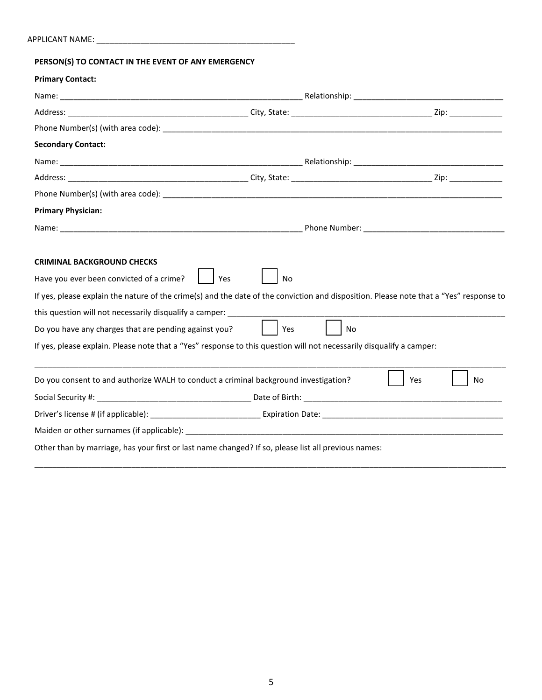| PERSON(S) TO CONTACT IN THE EVENT OF ANY EMERGENCY                                                                                                                                                                                                                                                                                                                                                                                                                                       |               |    |     |           |
|------------------------------------------------------------------------------------------------------------------------------------------------------------------------------------------------------------------------------------------------------------------------------------------------------------------------------------------------------------------------------------------------------------------------------------------------------------------------------------------|---------------|----|-----|-----------|
| <b>Primary Contact:</b>                                                                                                                                                                                                                                                                                                                                                                                                                                                                  |               |    |     |           |
|                                                                                                                                                                                                                                                                                                                                                                                                                                                                                          |               |    |     |           |
|                                                                                                                                                                                                                                                                                                                                                                                                                                                                                          |               |    |     |           |
|                                                                                                                                                                                                                                                                                                                                                                                                                                                                                          |               |    |     |           |
| <b>Secondary Contact:</b>                                                                                                                                                                                                                                                                                                                                                                                                                                                                |               |    |     |           |
|                                                                                                                                                                                                                                                                                                                                                                                                                                                                                          |               |    |     |           |
|                                                                                                                                                                                                                                                                                                                                                                                                                                                                                          |               |    |     |           |
|                                                                                                                                                                                                                                                                                                                                                                                                                                                                                          |               |    |     |           |
| <b>Primary Physician:</b>                                                                                                                                                                                                                                                                                                                                                                                                                                                                |               |    |     |           |
|                                                                                                                                                                                                                                                                                                                                                                                                                                                                                          |               |    |     |           |
| <b>CRIMINAL BACKGROUND CHECKS</b><br>Have you ever been convicted of a crime?<br>Yes<br>If yes, please explain the nature of the crime(s) and the date of the conviction and disposition. Please note that a "Yes" response to<br>this question will not necessarily disqualify a camper: _____________<br>Do you have any charges that are pending against you?<br>If yes, please explain. Please note that a "Yes" response to this question will not necessarily disqualify a camper: | No<br>I l Yes | No |     |           |
| Do you consent to and authorize WALH to conduct a criminal background investigation?                                                                                                                                                                                                                                                                                                                                                                                                     |               |    | Yes | <b>No</b> |
|                                                                                                                                                                                                                                                                                                                                                                                                                                                                                          |               |    |     |           |
|                                                                                                                                                                                                                                                                                                                                                                                                                                                                                          |               |    |     |           |
|                                                                                                                                                                                                                                                                                                                                                                                                                                                                                          |               |    |     |           |
| Other than by marriage, has your first or last name changed? If so, please list all previous names:                                                                                                                                                                                                                                                                                                                                                                                      |               |    |     |           |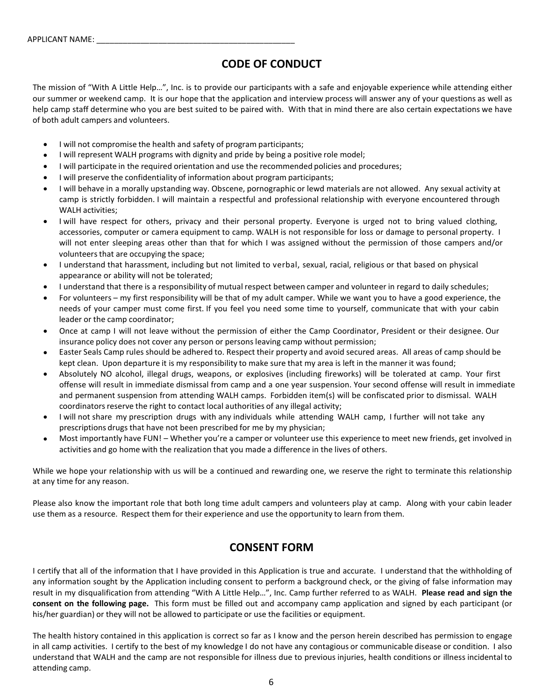# **CODE OF CONDUCT**

The mission of "With A Little Help…", Inc. is to provide our participants with a safe and enjoyable experience while attending either our summer or weekend camp. It is our hope that the application and interview process will answer any of your questions as well as help camp staff determine who you are best suited to be paired with. With that in mind there are also certain expectations we have of both adult campers and volunteers.

- I will not compromise the health and safety of program participants;
- I will represent WALH programs with dignity and pride by being a positive role model;
- I will participate in the required orientation and use the recommended policies and procedures;
- I will preserve the confidentiality of information about program participants;
- I will behave in a morally upstanding way. Obscene, pornographic or lewd materials are not allowed. Any sexual activity at camp is strictly forbidden. I will maintain a respectful and professional relationship with everyone encountered through WALH activities;
- I will have respect for others, privacy and their personal property. Everyone is urged not to bring valued clothing, accessories, computer or camera equipment to camp. WALH is not responsible for loss or damage to personal property. I will not enter sleeping areas other than that for which I was assigned without the permission of those campers and/or volunteers that are occupying the space;
- I understand that harassment, including but not limited to verbal, sexual, racial, religious or that based on physical appearance or ability will not be tolerated;
- I understand that there is a responsibility of mutual respect between camper and volunteer in regard to daily schedules;
- For volunteers my first responsibility will be that of my adult camper. While we want you to have a good experience, the needs of your camper must come first. If you feel you need some time to yourself, communicate that with your cabin leader or the camp coordinator;
- Once at camp I will not leave without the permission of either the Camp Coordinator, President or their designee. Our insurance policy does not cover any person or persons leaving camp without permission;
- Easter Seals Camp rules should be adhered to. Respect their property and avoid secured areas. All areas of camp should be kept clean. Upon departure it is my responsibility to make sure that my area is left in the manner it was found;
- Absolutely NO alcohol, illegal drugs, weapons, or explosives (including fireworks) will be tolerated at camp. Your first offense will result in immediate dismissal from camp and a one year suspension. Your second offense will result in immediate and permanent suspension from attending WALH camps. Forbidden item(s) will be confiscated prior to dismissal. WALH coordinators reserve the right to contact local authorities of any illegal activity;
- I will not share my prescription drugs with any individuals while attending WALH camp, I further will not take any prescriptions drugs that have not been prescribed for me by my physician;
- Most importantly have FUN! Whether you're a camper or volunteer use this experience to meet new friends, get involved in activities and go home with the realization that you made a difference in the lives of others.

While we hope your relationship with us will be a continued and rewarding one, we reserve the right to terminate this relationship at any time for any reason.

Please also know the important role that both long time adult campers and volunteers play at camp. Along with your cabin leader use them as a resource. Respect them for their experience and use the opportunity to learn from them.

# **CONSENT FORM**

I certify that all of the information that I have provided in this Application is true and accurate. I understand that the withholding of any information sought by the Application including consent to perform a background check, or the giving of false information may result in my disqualification from attending "With A Little Help…", Inc. Camp further referred to as WALH. **Please read and sign the consent on the following page.** This form must be filled out and accompany camp application and signed by each participant (or his/her guardian) or they will not be allowed to participate or use the facilities or equipment.

The health history contained in this application is correct so far as I know and the person herein described has permission to engage in all camp activities. I certify to the best of my knowledge I do not have any contagious or communicable disease or condition. I also understand that WALH and the camp are not responsible for illness due to previous injuries, health conditions or illness incidental to attending camp.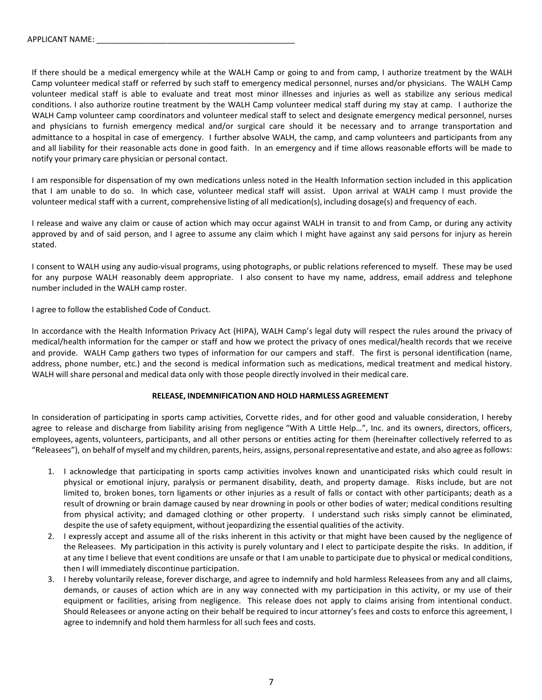If there should be a medical emergency while at the WALH Camp or going to and from camp, I authorize treatment by the WALH Camp volunteer medical staff or referred by such staff to emergency medical personnel, nurses and/or physicians. The WALH Camp volunteer medical staff is able to evaluate and treat most minor illnesses and injuries as well as stabilize any serious medical conditions. I also authorize routine treatment by the WALH Camp volunteer medical staff during my stay at camp. I authorize the WALH Camp volunteer camp coordinators and volunteer medical staff to select and designate emergency medical personnel, nurses and physicians to furnish emergency medical and/or surgical care should it be necessary and to arrange transportation and admittance to a hospital in case of emergency. I further absolve WALH, the camp, and camp volunteers and participants from any and all liability for their reasonable acts done in good faith. In an emergency and if time allows reasonable efforts will be made to notify your primary care physician or personal contact.

I am responsible for dispensation of my own medications unless noted in the Health Information section included in this application that I am unable to do so. In which case, volunteer medical staff will assist. Upon arrival at WALH camp I must provide the volunteer medical staff with a current, comprehensive listing of all medication(s), including dosage(s) and frequency of each.

I release and waive any claim or cause of action which may occur against WALH in transit to and from Camp, or during any activity approved by and of said person, and I agree to assume any claim which I might have against any said persons for injury as herein stated.

I consent to WALH using any audio-visual programs, using photographs, or public relations referenced to myself. These may be used for any purpose WALH reasonably deem appropriate. I also consent to have my name, address, email address and telephone number included in the WALH camp roster.

I agree to follow the established Code of Conduct.

In accordance with the Health Information Privacy Act (HIPA), WALH Camp's legal duty will respect the rules around the privacy of medical/health information for the camper or staff and how we protect the privacy of ones medical/health records that we receive and provide. WALH Camp gathers two types of information for our campers and staff. The first is personal identification (name, address, phone number, etc.) and the second is medical information such as medications, medical treatment and medical history. WALH will share personal and medical data only with those people directly involved in their medical care.

#### **RELEASE, INDEMNIFICATION AND HOLD HARMLESS AGREEMENT**

In consideration of participating in sports camp activities, Corvette rides, and for other good and valuable consideration, I hereby agree to release and discharge from liability arising from negligence "With A Little Help…", Inc. and its owners, directors, officers, employees, agents, volunteers, participants, and all other persons or entities acting for them (hereinafter collectively referred to as "Releasees"), on behalf of myself and my children, parents, heirs, assigns, personal representative and estate, and also agree as follows:

- 1. I acknowledge that participating in sports camp activities involves known and unanticipated risks which could result in physical or emotional injury, paralysis or permanent disability, death, and property damage. Risks include, but are not limited to, broken bones, torn ligaments or other injuries as a result of falls or contact with other participants; death as a result of drowning or brain damage caused by near drowning in pools or other bodies of water; medical conditions resulting from physical activity; and damaged clothing or other property. I understand such risks simply cannot be eliminated, despite the use of safety equipment, without jeopardizing the essential qualities of the activity.
- 2. I expressly accept and assume all of the risks inherent in this activity or that might have been caused by the negligence of the Releasees. My participation in this activity is purely voluntary and I elect to participate despite the risks. In addition, if at any time I believe that event conditions are unsafe or that I am unable to participate due to physical or medical conditions, then I will immediately discontinue participation.
- 3. I hereby voluntarily release, forever discharge, and agree to indemnify and hold harmless Releasees from any and all claims, demands, or causes of action which are in any way connected with my participation in this activity, or my use of their equipment or facilities, arising from negligence. This release does not apply to claims arising from intentional conduct. Should Releasees or anyone acting on their behalf be required to incur attorney's fees and costs to enforce this agreement, I agree to indemnify and hold them harmless for all such fees and costs.